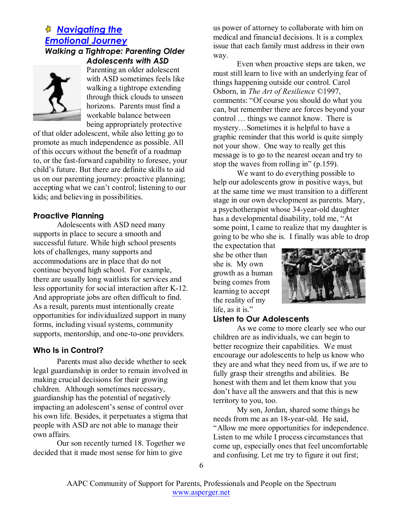# *Navigating the Emotional Journey*

### *Walking a Tightrope: Parenting Older Adolescents with ASD*



Parenting an older adolescent with ASD sometimes feels like walking a tightrope extending through thick clouds to unseen horizons. Parents must find a workable balance between being appropriately protective

of that older adolescent, while also letting go to promote as much independence as possible. All of this occurs without the benefit of a roadmap to, or the fast-forward capability to foresee, your child's future. But there are definite skills to aid us on our parenting journey: proactive planning; accepting what we can't control; listening to our kids; and believing in possibilities.

### **Proactive Planning**

Adolescents with ASD need many supports in place to secure a smooth and successful future. While high school presents lots of challenges, many supports and accommodations are in place that do not continue beyond high school. For example, there are usually long waitlists for services and less opportunity for social interaction after K-12. And appropriate jobs are often difficult to find. As a result, parents must intentionally create opportunities for individualized support in many forms, including visual systems, community supports, mentorship, and one-to-one providers.

## **Who Is in Control?**

Parents must also decide whether to seek legal guardianship in order to remain involved in making crucial decisions for their growing children. Although sometimes necessary, guardianship has the potential of negatively impacting an adolescent's sense of control over his own life. Besides, it perpetuates a stigma that people with ASD are not able to manage their own affairs.

Our son recently turned 18. Together we decided that it made most sense for him to give

us power of attorney to collaborate with him on medical and financial decisions. It is a complex issue that each family must address in their own way.

Even when proactive steps are taken, we must still learn to live with an underlying fear of things happening outside our control. Carol Osborn, in *The Art of Resilience* ©1997, comments: "Of course you should do what you can, but remember there are forces beyond your control … things we cannot know. There is mystery…Sometimes it is helpful to have a graphic reminder that this world is quite simply not your show. One way to really get this message is to go to the nearest ocean and try to stop the waves from rolling in" (p.159).

We want to do everything possible to help our adolescents grow in positive ways, but at the same time we must transition to a different stage in our own development as parents. Mary, a psychotherapist whose 34-year-old daughter has a developmental disability, told me, "At some point,  $\overline{I}$  came to realize that my daughter is going to be who she is. I finally was able to drop

the expectation that she be other than she is. My own growth as a human being comes from learning to accept the reality of my life, as it is."



# **Listen to Our Adolescents**

As we come to more clearly see who our children are as individuals, we can begin to better recognize their capabilities. We must encourage our adolescents to help us know who they are and what they need from us, if we are to fully grasp their strengths and abilities. Be honest with them and let them know that you don't have all the answers and that this is new territory to you, too.

My son, Jordan, shared some things he needs from me as an 18-year-old. He said, "Allow me more opportunities for independence. Listen to me while I process circumstances that come up, especially ones that feel uncomfortable and confusing. Let me try to figure it out first;